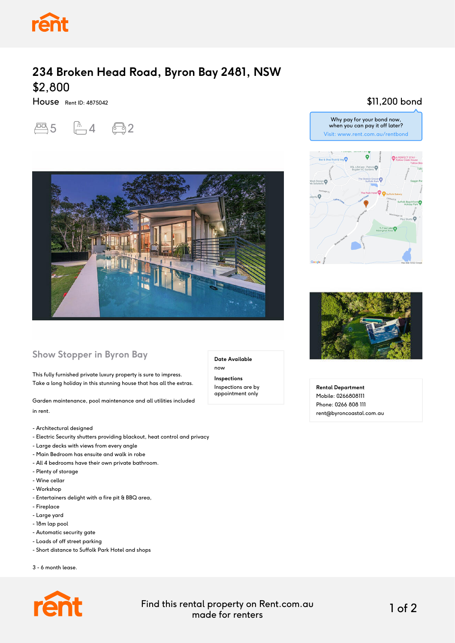

## **234 Broken Head Road, Byron Bay 2481, NSW** \$2,800

House Rent ID: 4875042





## **Show Stopper in Byron Bay**

This fully furnished private luxury property is sure to impress. Take a long holiday in this stunning house that has all the extras.

Garden maintenance, pool maintenance and all utilities included in rent.

- Architectural designed
- Electric Security shutters providing blackout, heat control and privacy
- Large decks with views from every angle
- Main Bedroom has ensuite and walk in robe
- All 4 bedrooms have their own private bathroom.
- Plenty of storage
- Wine cellar
- Workshop
- Entertainers delight with a fire pit & BBQ area,
- Fireplace
- Large yard
- 18m lap pool
- Automatic security gate
- Loads of off street parking
- Short distance to Suffolk Park Hotel and shops

3 - 6 month lease.



**Inspections** Inspections are by appointment only

**Date Available**

now

\$11,200 bond





**Rental Department** Mobile: 0266808111 Phone: 0266 808 111 rent@byroncoastal.com.au